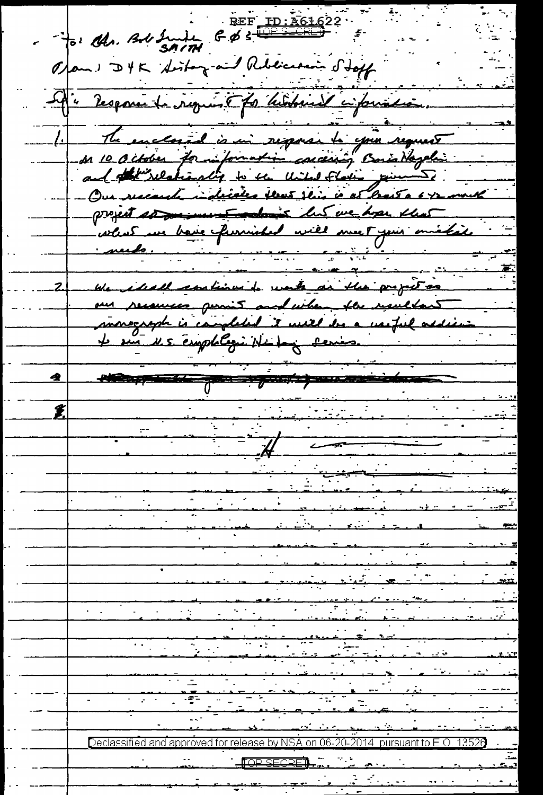REF ID: A61622 to the Bobbuild G.B 3 Opon : DYK Siston and Rebeccan Stoff If a response la requisit for historical cinquistaires. The enclosed is in response to your request Due nacarde indicates that this is at least a 6-12 month project so me must colonis les we hope that what we have furnished will meet your mistate <u>needs.</u> We ideall continued water an the properties our recourses permit and when the resultant monograph is campleded it will be a wasful addie N.S. emplologie Nichog Series.  $\theta$  and  $\theta$  and  $\theta$  and  $\theta$  and  $\theta$ <u>sane di l</u> ب<br>تروید مسلم  $\bigcirc$ eclassified and approved for release by NSA on 06-20-2014  $\,$  pursuant to E.O. 13526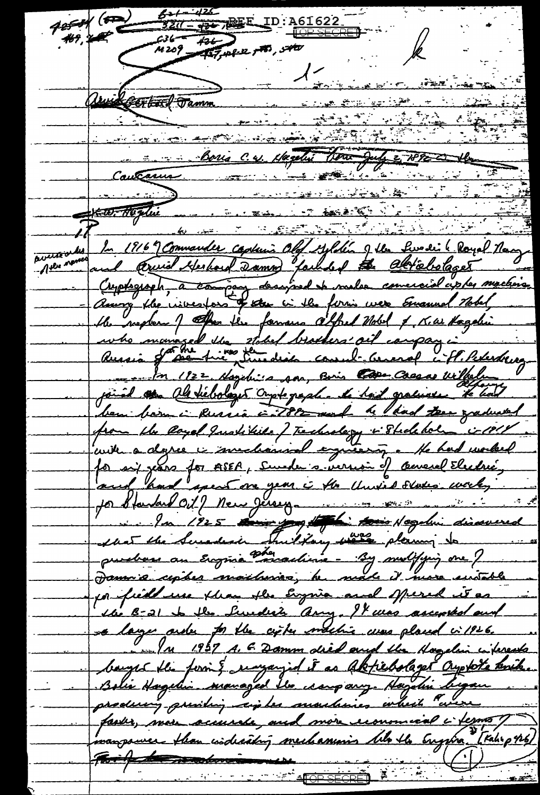$871 - 426$  $\frac{1}{2}$ ID:A61622 for the  $\epsilon$  $236 - 436$ <br>M 209 - 427, pf 2 7 46, 540 1 representative Unidgestal Tamm <u> 1900 - Elena Signald</u> Caucaune Boris C. et Magelie Verne July 2 7892 2016 كستنحنخت <u> 1990 - Antonio Antonio II de Antonio Antonio Antonio Antonio Antonio Antonio Antonio Antonio Antonio Antonio</u> In 1916 9 Commander capturis Old Sylden of the Lundi ( Royal Navy and Arwid Herbord Damed Jacksof the abriebolages Cuptograph, à company designed de malse conversion avoien machine Among the nivertons of the in the form were Emanuel Hobel, the negler of the lie famous atfect told of K. a. Hagelin who managed the stated brothers' ail campan i 122 Haydris son, Baris Casas withele joined as allevilologis cryotographic to had graduate to had ben barn i Russia i 789 and he had ten graduated from the layed Justiciale of Technology in Studeholm is 1814 cuite a degree in mechanise expresion, le had model for six pars for ASEA, Sunder a version of cemeral Electric, In 1925 tous joy to tous Negelin discovered leat the Sunders . This Law was planning to puebos an Ergüne Madinie - By multipig one J por field use than the Engine and spered it as the B-21 to the Sunday any. It was ascepted and a large arder for the cigher machine was placed in 1926. 1 /n 1957 A. E. Damm dried and the Hagelin interests bauges the form? reaganged it as Aktiebolager Oryphote anik. Bolie Hagelin managed les ceampany Hagelin Tegan faster, more accurate, and more remoment i terms ? mangouver than isdicating mechanisme tils the Engine [Kalip 46]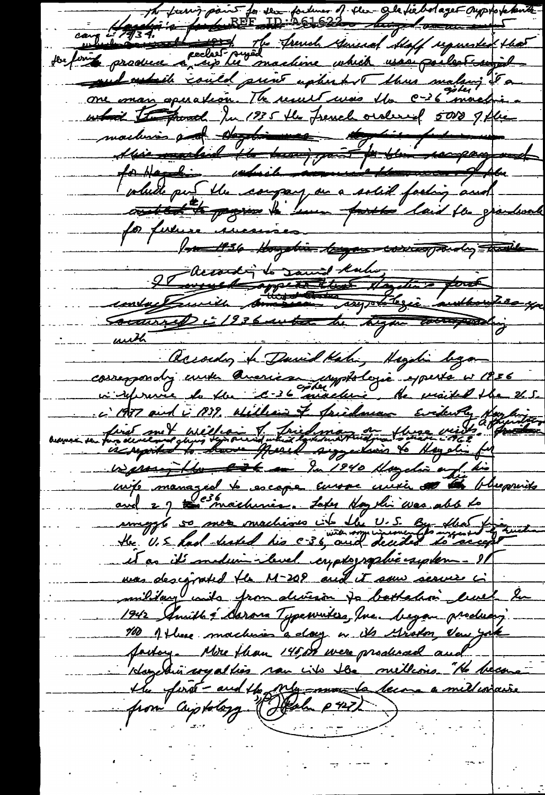The fourier for sex fortunes of the alexand ages oupstakents and which could print upherby there waking it a one man operation. The result was the C-36 mach what the posed Ju 1935 the french ordered 5000 1 plus machines and deposition to for paragogene volude put the company on a solid facting and contest to propose to have posted laid for grandwal for future incremien 1 m 1936 Hogghis byen working the day - hasile le court le saint troi dans pour Coutures à 1936 autres du bigne courage unth accorder & David Kali, Magdin byan cossespondy under American upptologie especte v 1856 c'AT and i 1939, William of Saidman Evidenty first met william I fried man au these vists affix is reported to have presel suggestions to Hayalis for vegement de la la 1940 Maydia en la his wife managed to escape Europe crusie at the blupswith and 29 th machines. Later Hoythi was able to uniggs so mor machine it the U.S. By the et as it's medium-level cryptographie system - 11 mas descripted the M-209 and it sow serves i military with from devision to bothalian luck he 1942 Amithé Asron Typewikes, Me began produon;<br>10 1 Hune machines a day in its Grotor deu jak factory. Mire flean 145 or were produced and Hoyelin wyalties now into the mellions. "He been the first-and the My more to become a millisiaire from criptology (Jeah pro)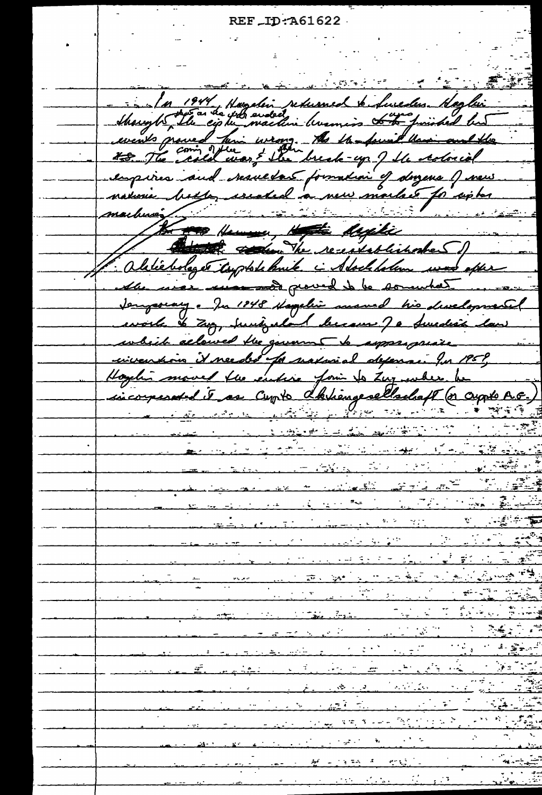REF ID: A61622

<u>mati in de Amarch Barbara</u> بالتواريخ Marght 1944, Hagelin returned biduredus Haglin events proved him wrong. A the found the Marinard the <u>ecloria</u> respires and vesuedas formation of dorzena () news<br>naturie botte, created a new market for cipber<br>markeres new Henne, Hote Might and the receptablished Daliebologer topplate knik i Stockholm was oper was successed proved to be somewh Sengeorary - Ju 1848 Hagelin und his divelopmental to Zug, surigadand be Swedish law alowed the govern <u>asggals p</u>is invention it needed for natureal depenant for 1959, I fle enture formi to Zuy ender he as comte d'himpselladaft (n comte A.G. sicorps  $\mathcal{L}_\text{M}$  and  $\mathcal{L}_\text{M}$  and  $\mathcal{L}_\text{M}$ المستخدمات المناسبة المستخدمة المستخدمة <u>Andrew Marie Marie Barba</u>  $\frac{\Psi_{\rm{max}}}{\sigma_{\rm{max}}}\simeq\frac{1}{\sigma_{\rm{max}}}\frac{1}{\sigma_{\rm{max}}}\, .$ و م<sub>حم</sub>ر<br>محمد  $\mathcal{F}^{\mathcal{F}}$ والمعاني والمواريع والمحاربين والمرادح والمراجع وي.<br>موسيق  $\sqrt{\omega}$  ,  $\frac{1}{2} \frac{1}{2}$  ,  $\frac{1}{2} \frac{1}{2}$  ,  $\frac{1}{2} \frac{1}{2} \frac{1}{2}$  ,  $\frac{1}{2} \frac{1}{2} \frac{1}{2}$ <u> en modern en en handre</u> <u>e Transforma</u> المراد المراد المناسبة.<br>منظمة المناسبة المناسبة  $\frac{1}{\sqrt{1-\frac{1}{2}}}$ <u> André André André André A</u>  $\mathcal{F}^{\mathcal{A}}(x,y) \leq \mathcal{F}^{\mathcal{A}}_{\mathcal{A}}(\mathcal{A},\mathcal{B}^{\mathcal{B}}_{\mathcal{A}},\mathcal{B}^{\mathcal{B}}_{\mathcal{A}})$  $\epsilon = 2.8$  M  $\frac{1}{2}$  $\mathcal{L} = \mathcal{L} \mathcal{L} = \mathcal{L}$ ني کي د  $\frac{1}{\sqrt{2\pi}}\left(\frac{1}{\sqrt{2\pi}}\right)^{2}$  $\mathbb{R}$  is the set of  $\mathbb{R}$ <u>ment and Million S</u>  $\mathcal{O}(\mathcal{O})$  $\mathcal{O}(\mathcal{E})$  $\mathcal{L} = \mathcal{L} \mathcal{L}$  $\label{eq:2} \mathcal{L}^{\text{max}}_{\text{max}}(\mathcal{L}^{\text{max}}_{\text{max}}) = 1$  $\frac{1}{2}$  =  $\frac{1}{2}$  =  $\frac{1}{2}$  =  $\frac{1}{2}$  =  $\frac{1}{2}$  =  $\frac{1}{2}$  =  $\frac{1}{2}$  =  $\frac{1}{2}$  =  $\frac{1}{2}$  =  $\frac{1}{2}$  =  $\frac{1}{2}$  =  $\frac{1}{2}$  =  $\frac{1}{2}$  =  $\frac{1}{2}$  =  $\frac{1}{2}$  =  $\frac{1}{2}$  =  $\frac{1}{2}$  =  $\frac{1}{2}$  =  $\frac{1$ <u> Francisco de Sta</u>  $\begin{array}{c} \mathcal{L}_{\text{max}}(\mathbf{X}) \\ \mathcal{L}_{\text{max}}(\mathbf{X}) \end{array}$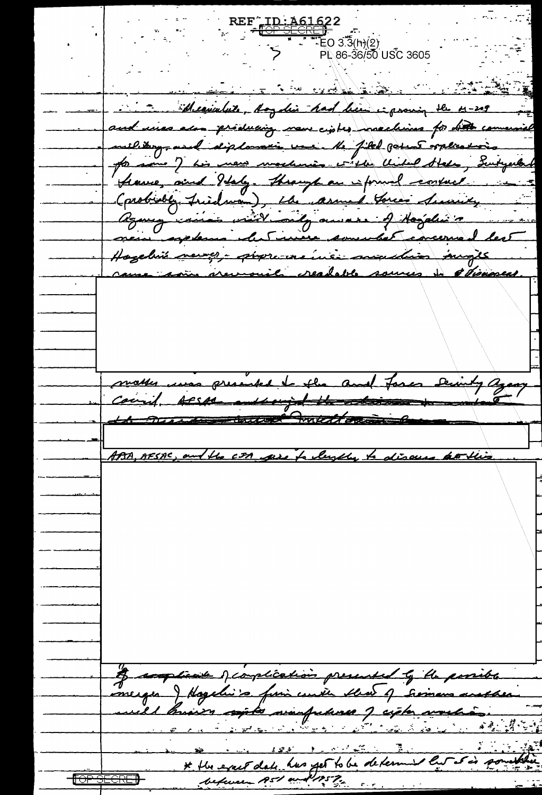REF I<u>D:A616</u>22  $E$ O 3.3(h) $(2)$ PL 86-36/50 USC 3605 <u>rath i R</u> Meanwhile, Angdin had been inproving the M-209 and uses also producing now cipted machines for hit con military, and diploman une Me filed games orphanics Germe, and Italy. Through an informal consult Corobioble, Friedman), the assumed Gorces Security Hazelvie news ; programs insi madries inges nemously readable sources to stigament presente <u>Van flue</u> makes حك count. Assessment with the set ABA, AESAS tiente o complication presented la flu parriba meiger ) Hagelin's fini coute that of German and he manfulures J cicle world el bruno conto <u>バインダン</u> has yet to be determ \* the exact 2125 P. befame  $RS^{\prime}$  as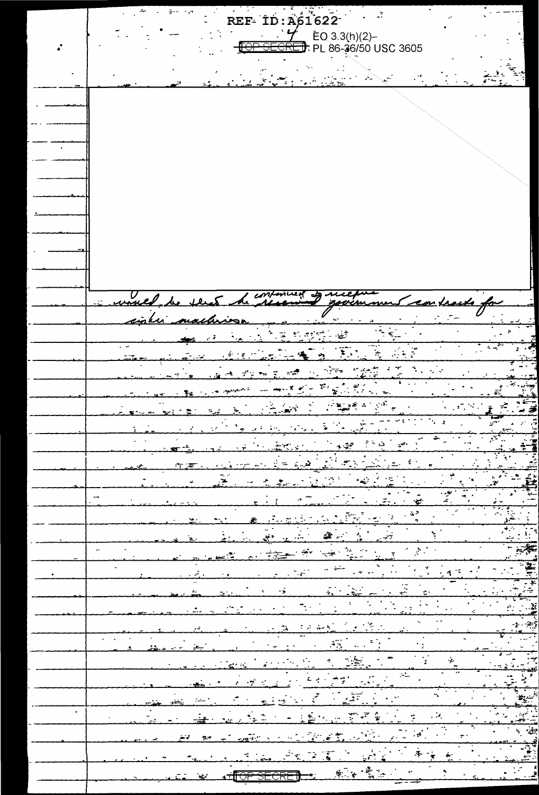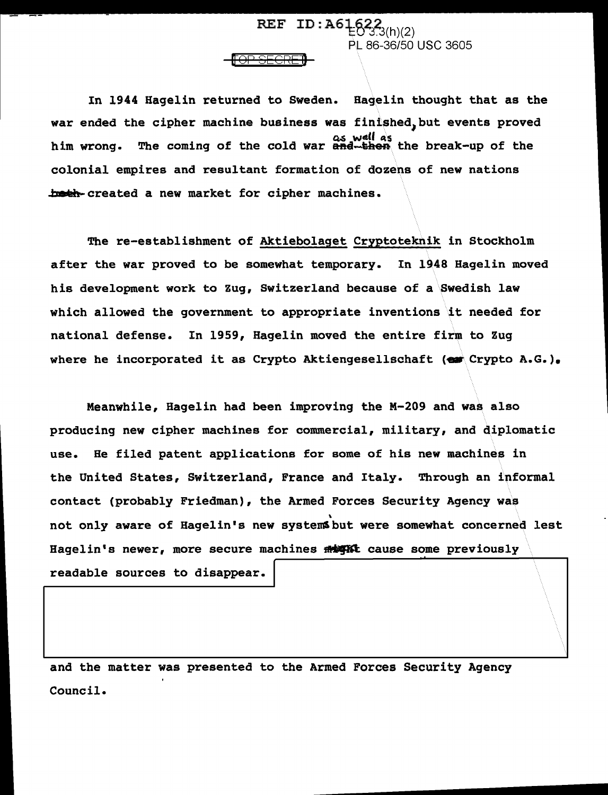In 1944 Hagelin returned to Sweden. Hagelin thought that as the war ended the cipher machine business was finished, but events proved as well as<br>him wrong. The coming of the cold war and the then the break-up of the colonial empires and resultant formation of dozens of new nations both created a new market for cipher machines.

<del>[OP SECRE]}</del>

REF ID:  $A6\frac{1}{2}622_{3(h)(2)}$ 

PL 86-36/50 USC 3605

~~----------...........

The re-establishment of Aktiebolaget Cryptoteknik in Stockholm after the war proved to be somewhat temporary. In 1948 Hagelin moved his development work to Zug, Switzerland because of a Swedish law which allowed the government to appropriate inventions it needed for national defense. In 1959, Hagelin moved the entire firm to Zug where he incorporated it as Crypto Aktiengesellschaft ( $\bullet$  Crypto A.G.).

Meanwhile, Hagelin had been improving the M-209 and was also producing new cipher machines for commercial, military, and diplomatic use. He filed patent applications for some of his new machines in the United States, Switzerland, France and Italy. Through an informal contact (probably Friedman), the Armed Forces Security Agency was not only aware of Hagelin's new systemsbut were somewhat concerned lest Hagelin's newer, more secure machines  $m$  with cause some previously readable sources to disappear.

and the matter was presented to the Armed Forces Security Agency Council.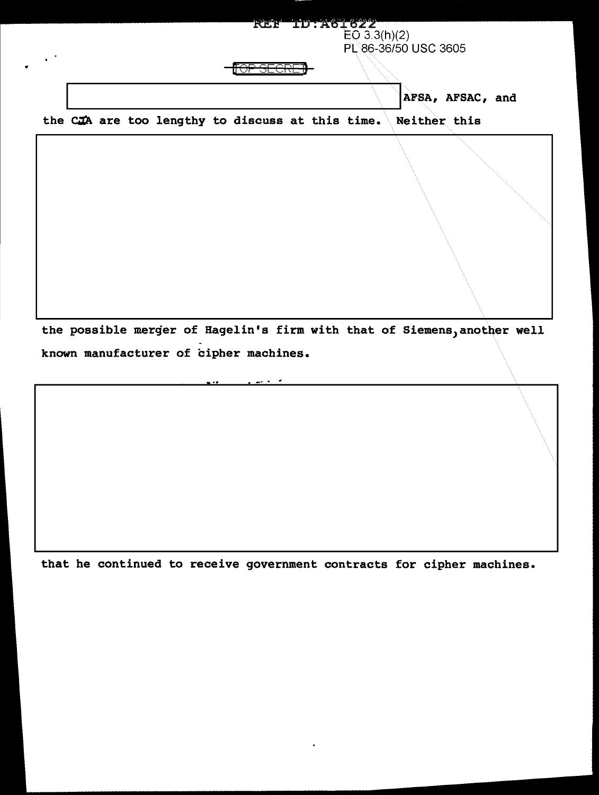

the possible merger of Hagelin's firm with that of Siemens, another well known manufacturer of cipher machines.

that he continued to receive government contracts for cipher machines.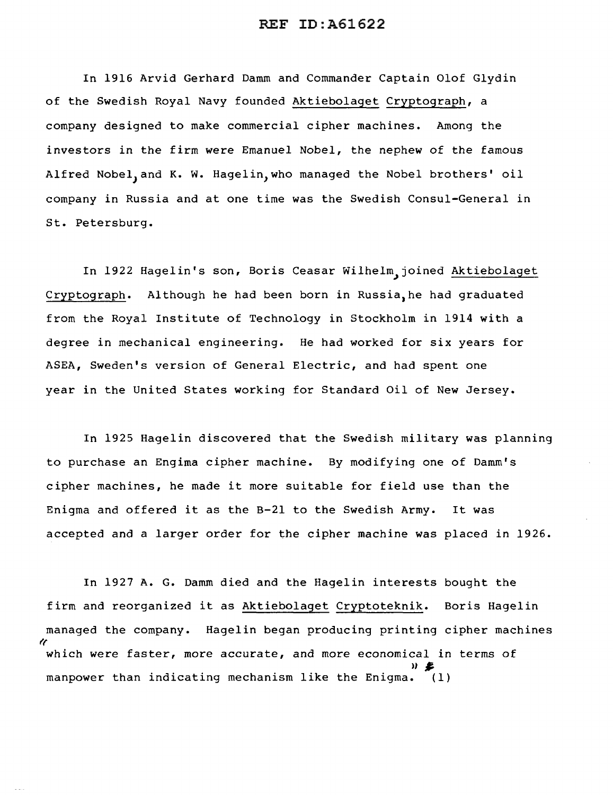## REF ID:A61622

In 1916 Arvid Gerhard Damm and Commander Captain Olof Glydin of the Swedish Royal Navy founded Aktiebolaget Cryptograph, a company designed to make commercial cipher machines. Among the investors in the firm were Emanuel Nobel, the nephew of the famous Alfred Nobel, and K. W. Hagelin, who managed the Nobel brothers' oil company in Russia and at one time was the Swedish Consul-General in St. Petersburg.

In 1922 Hagelin's son, Boris Ceasar Wilhelm,joined Aktiebolaget Cryptograph. Although he had been born in Russia,he had graduated from the Royal Institute of Technology in Stockholm in 1914 with a degree in mechanical engineering. He had worked for six years for ASEA, Sweden's version of General Electric, and had spent one year in the United States working for Standard Oil of New Jersey.

In 1925 Hagelin discovered that the Swedish military was planning to purchase an Engima cipher machine. By modifying one of Damm's cipher machines, he made it more suitable for field use than the Enigma and offered it as the B-21 to the Swedish Army. It was accepted and a larger order for the cipher machine was placed in 1926.

In 1927 A. G. Damm died and the Hagelin interests bought the firm and reorganized it as Aktiebolaget Cryptoteknik. Boris Hagelin managed the company. Hagelin began producing printing cipher machines  $\mathcal{U}$ which were faster, more accurate, and more economical in terms of  $\overline{w}$ manpower than indicating mechanism like the Enigma. (1)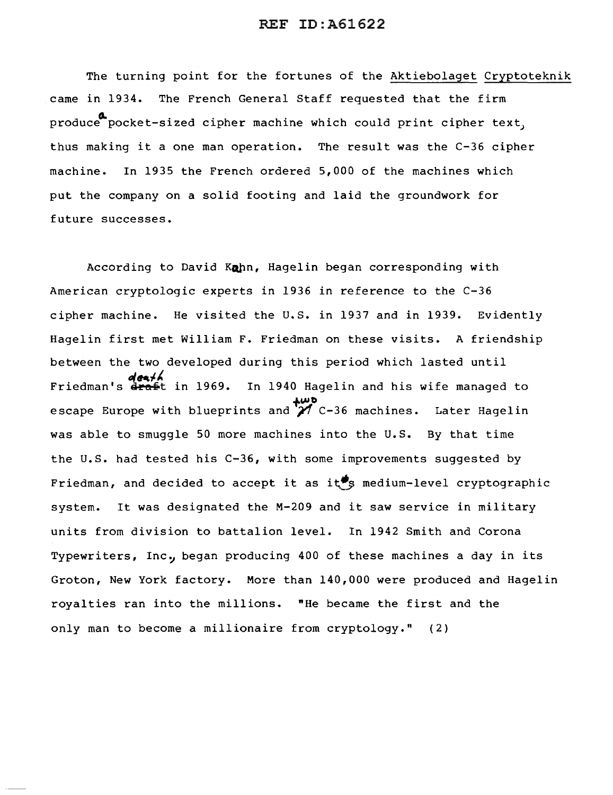## REF ID:A61622

The turning point for the fortunes of the Aktiebolaget Cryptoteknik came in 1934. The French General Staff requested that the firm produce pocket-sized cipher machine which could print cipher text, thus making it a one man operation. The result was the C-36 cipher machine. In 1935 the French ordered 5,000 of the machines which put the company on a solid footing and laid the groundwork for future successes.

According to David Kohn, Hagelin began corresponding with American cryptologic experts in 1936 in reference to the C-36 cipher machine. He visited the U.S. in 1937 and in 1939. Evidently Hagelin first met William F. Friedman on these visits. A friendship between the two developed during this period which lasted until death<br>Friedman's draft in 1969. In 1940 Hagelin and his wife managed to escape Europe with blueprints and  $\overleftrightarrow{A}$  C-36 machines. Later Hagelin was able to smuggle 50 more machines into the U.S. By that time the U.S. had tested his C-36, with some improvements suggested by Friedman, and decided to accept it as it<sup>\$</sup> medium-level cryptographic system. It was designated the M-209 and it saw service in military units from division to battalion level. In 1942 Smith and Corona Typewriters, Inc., began producing 400 of these machines a day in its Groton, New York factory. More than 140,000 were produced and Hagelin royalties ran into the millions. "He became the first and the only man to become a millionaire from cryptology." (2)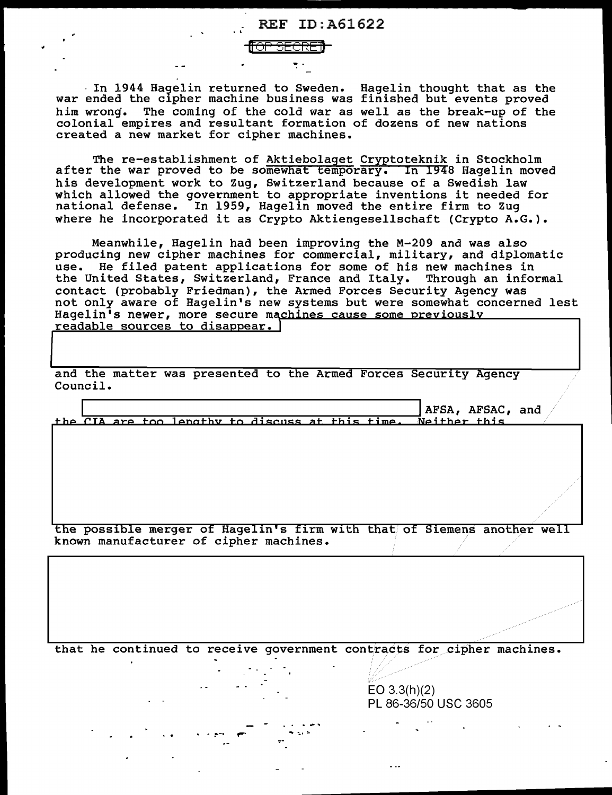

In 1944 Hagelin returned to Sweden. Hagelin thought that as the war ended the cipher machine business was finished but events proved The coming of the cold war as well as the break-up of the him wrong. colonial empires and resultant formation of dozens of new nations created a new market for cipher machines.

The re-establishment of Aktiebolaget Cryptoteknik in Stockholm after the war proved to be somewhat temporary. In 1948 Hagelin moved his development work to Zug, Switzerland because of a Swedish law which allowed the government to appropriate inventions it needed for national defense. In 1959, Hagelin moved the entire firm to Zuq where he incorporated it as Crypto Aktiengesellschaft (Crypto A.G.).

Meanwhile, Hagelin had been improving the M-209 and was also producing new cipher machines for commercial, military, and diplomatic use. He filed patent applications for some of his new machines in the United States, Switzerland, France and Italy. Through an informal contact (probably Friedman), the Armed Forces Security Agency was<br>not only aware of Hagelin's new systems but were somewhat concerned lest Hagelin's newer, more secure machines cause some previously readable sources to disappear.

and the matter was presented to the Armed Forces Security Agency Council.

AFSA, AFSAC, and the CIA are too lengthy to discuss at this time. Neither this

the possible merger of Hagelin's firm with that of Siemens another well known manufacturer of cipher machines.

that he continued to receive government contracts for cipher machines.

 $EO 3.3(h)(2)$ PL 86-36/50 USC 3605